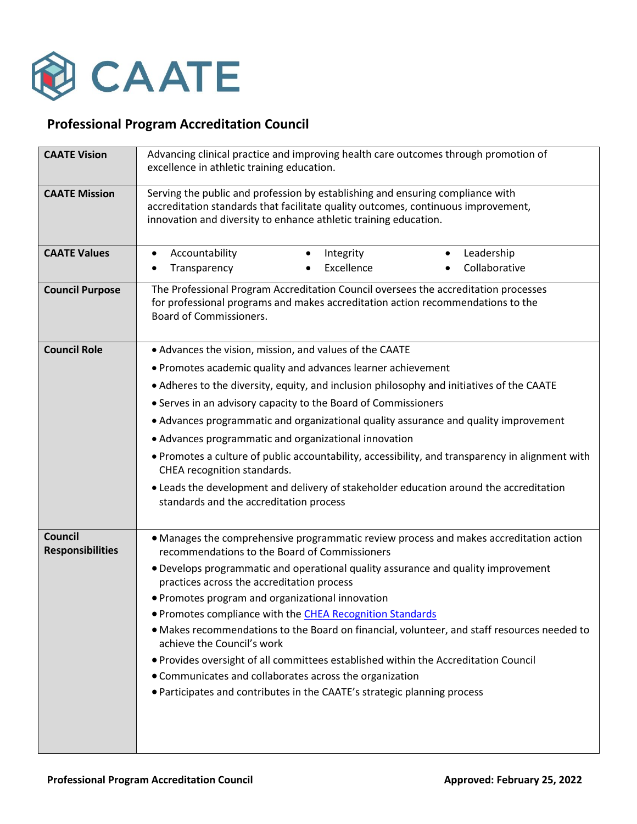

## **Professional Program Accreditation Council**

| <b>CAATE Vision</b>                       | Advancing clinical practice and improving health care outcomes through promotion of<br>excellence in athletic training education.                                                                                                       |
|-------------------------------------------|-----------------------------------------------------------------------------------------------------------------------------------------------------------------------------------------------------------------------------------------|
| <b>CAATE Mission</b>                      | Serving the public and profession by establishing and ensuring compliance with<br>accreditation standards that facilitate quality outcomes, continuous improvement,<br>innovation and diversity to enhance athletic training education. |
| <b>CAATE Values</b>                       | Accountability<br>Leadership<br>Integrity<br>$\bullet$<br>$\bullet$<br>Excellence<br>Collaborative<br>Transparency<br>$\bullet$                                                                                                         |
| <b>Council Purpose</b>                    | The Professional Program Accreditation Council oversees the accreditation processes<br>for professional programs and makes accreditation action recommendations to the<br>Board of Commissioners.                                       |
| <b>Council Role</b>                       | • Advances the vision, mission, and values of the CAATE                                                                                                                                                                                 |
|                                           | • Promotes academic quality and advances learner achievement                                                                                                                                                                            |
|                                           | • Adheres to the diversity, equity, and inclusion philosophy and initiatives of the CAATE                                                                                                                                               |
|                                           | • Serves in an advisory capacity to the Board of Commissioners                                                                                                                                                                          |
|                                           | • Advances programmatic and organizational quality assurance and quality improvement                                                                                                                                                    |
|                                           | • Advances programmatic and organizational innovation                                                                                                                                                                                   |
|                                           | . Promotes a culture of public accountability, accessibility, and transparency in alignment with<br>CHEA recognition standards.                                                                                                         |
|                                           | • Leads the development and delivery of stakeholder education around the accreditation<br>standards and the accreditation process                                                                                                       |
| <b>Council</b><br><b>Responsibilities</b> | • Manages the comprehensive programmatic review process and makes accreditation action<br>recommendations to the Board of Commissioners                                                                                                 |
|                                           | . Develops programmatic and operational quality assurance and quality improvement<br>practices across the accreditation process                                                                                                         |
|                                           | • Promotes program and organizational innovation                                                                                                                                                                                        |
|                                           | • Promotes compliance with the CHEA Recognition Standards                                                                                                                                                                               |
|                                           | · Makes recommendations to the Board on financial, volunteer, and staff resources needed to<br>achieve the Council's work                                                                                                               |
|                                           | . Provides oversight of all committees established within the Accreditation Council                                                                                                                                                     |
|                                           | • Communicates and collaborates across the organization                                                                                                                                                                                 |
|                                           | • Participates and contributes in the CAATE's strategic planning process                                                                                                                                                                |
|                                           |                                                                                                                                                                                                                                         |
|                                           |                                                                                                                                                                                                                                         |
|                                           |                                                                                                                                                                                                                                         |